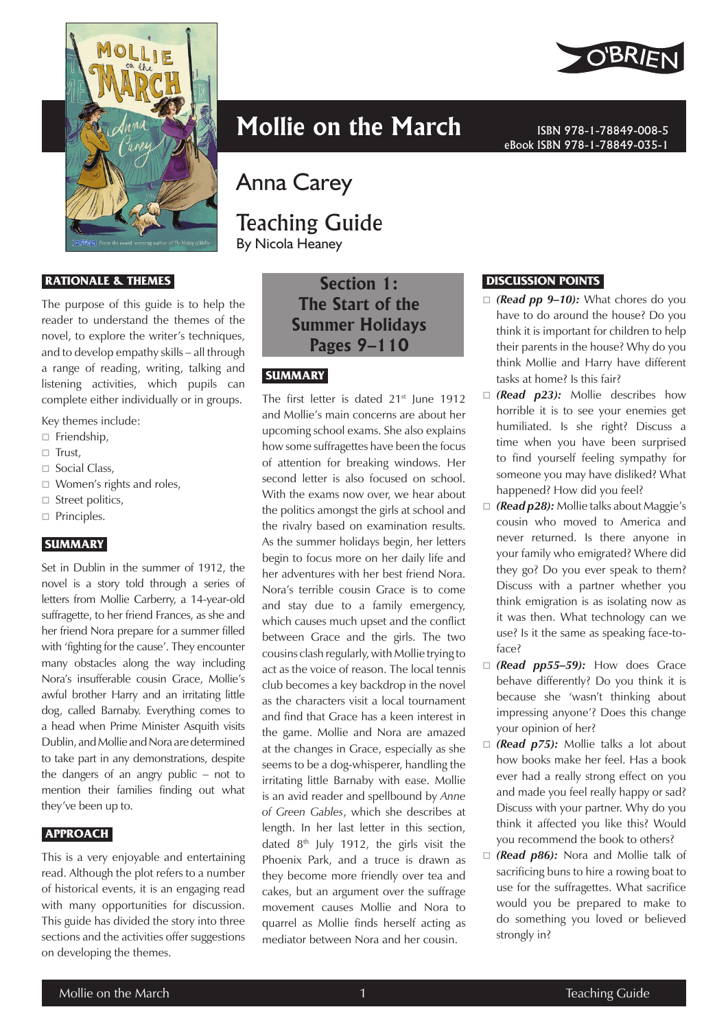

#### **RATIONALE & THEMES**

The purpose of this guide is to help the reader to understand the themes of the novel, to explore the writer's techniques, and to develop empathy skills – all through a range of reading, writing, talking and listening activities, which pupils can complete either individually or in groups.

Key themes include:

- $\Box$  Friendship,
- $\Box$  Trust,
- $\Box$  Social Class,
- □ Women's rights and roles,
- $\Box$  Street politics,
- $\Box$  Principles.

#### **SUMMARY**

Set in Dublin in the summer of 1912, the novel is a story told through a series of letters from Mollie Carberry, a 14-year-old suffragette, to her friend Frances, as she and her friend Nora prepare for a summer filled with 'fighting for the cause'. They encounter many obstacles along the way including Nora's insufferable cousin Grace, Mollie's awful brother Harry and an irritating little dog, called Barnaby. Everything comes to a head when Prime Minister Asquith visits Dublin, and Mollie and Nora are determined to take part in any demonstrations, despite the dangers of an angry public – not to mention their families finding out what they've been up to.

#### **APPROACH**

This is a very enjoyable and entertaining read. Although the plot refers to a number of historical events, it is an engaging read with many opportunities for discussion. This guide has divided the story into three sections and the activities offer suggestions on developing the themes.

# **Mollie on the March ISBN 978-1-78849-008-5**

Anna Carey

# Teaching Guide

By Nicola Heaney

**Section 1: The Start of the Summer Holidays Pages 9–110**

# **SUMMARY**

The first letter is dated  $21<sup>st</sup>$  lune 1912 and Mollie's main concerns are about her upcoming school exams. She also explains how some suffragettes have been the focus of attention for breaking windows. Her second letter is also focused on school. With the exams now over, we hear about the politics amongst the girls at school and the rivalry based on examination results. As the summer holidays begin, her letters begin to focus more on her daily life and her adventures with her best friend Nora. Nora's terrible cousin Grace is to come and stay due to a family emergency, which causes much upset and the conflict between Grace and the girls. The two cousins clash regularly, with Mollie trying to act as the voice of reason. The local tennis club becomes a key backdrop in the novel as the characters visit a local tournament and find that Grace has a keen interest in the game. Mollie and Nora are amazed at the changes in Grace, especially as she seems to be a dog-whisperer, handling the irritating little Barnaby with ease. Mollie is an avid reader and spellbound by *Anne of Green Gables*, which she describes at length. In her last letter in this section, dated  $8<sup>th</sup>$  July 1912, the girls visit the Phoenix Park, and a truce is drawn as they become more friendly over tea and cakes, but an argument over the suffrage movement causes Mollie and Nora to quarrel as Mollie finds herself acting as mediator between Nora and her cousin.



# **DISCUSSION POINTS**

 *(Read pp 9–10):* What chores do you have to do around the house? Do you think it is important for children to help their parents in the house? Why do you think Mollie and Harry have different tasks at home? Is this fair?

eBook ISBN 978-1-78849-035-1

- □ (**Read p23):** Mollie describes how horrible it is to see your enemies get humiliated. Is she right? Discuss a time when you have been surprised to find yourself feeling sympathy for someone you may have disliked? What happened? How did you feel?
- *(Read p28):* Mollie talks about Maggie's cousin who moved to America and never returned. Is there anyone in your family who emigrated? Where did they go? Do you ever speak to them? Discuss with a partner whether you think emigration is as isolating now as it was then. What technology can we use? Is it the same as speaking face-toface?
- *(Read pp55–59):* How does Grace behave differently? Do you think it is because she 'wasn't thinking about impressing anyone'? Does this change your opinion of her?
- *(Read p75):* Mollie talks a lot about how books make her feel. Has a book ever had a really strong effect on you and made you feel really happy or sad? Discuss with your partner. Why do you think it affected you like this? Would you recommend the book to others?
- *(Read p86):* Nora and Mollie talk of sacrificing buns to hire a rowing boat to use for the suffragettes. What sacrifice would you be prepared to make to do something you loved or believed strongly in?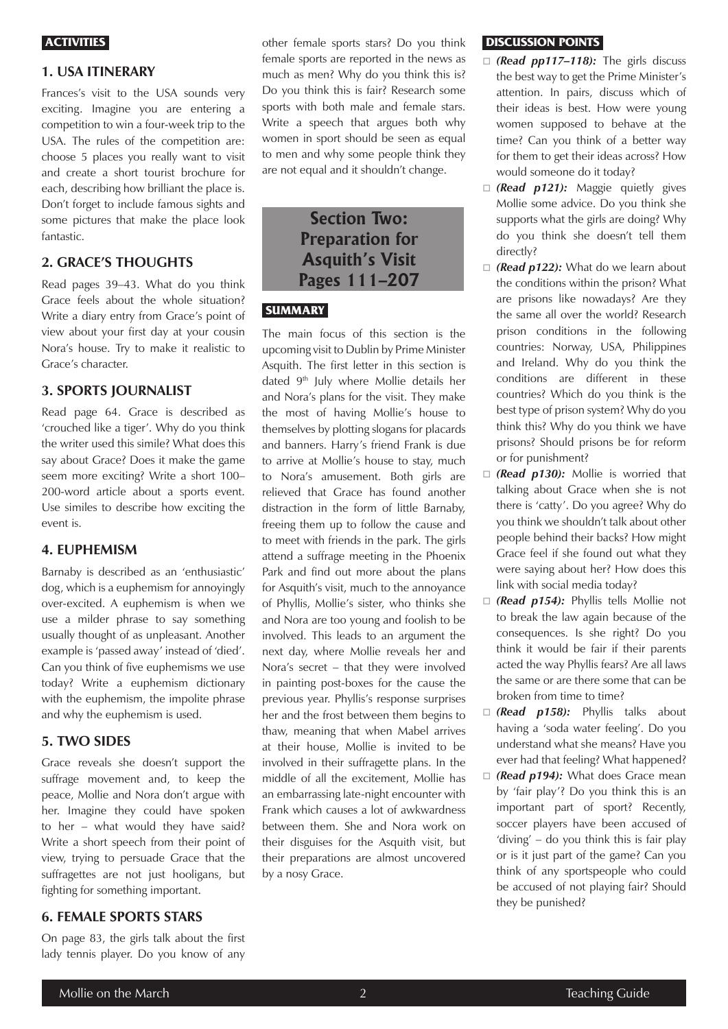#### **ACTIVITIES**

# **1. USA ITINERARY**

Frances's visit to the USA sounds very exciting. Imagine you are entering a competition to win a four-week trip to the USA. The rules of the competition are: choose 5 places you really want to visit and create a short tourist brochure for each, describing how brilliant the place is. Don't forget to include famous sights and some pictures that make the place look fantastic.

# **2. GRACE'S THOUGHTS**

Read pages 39–43. What do you think Grace feels about the whole situation? Write a diary entry from Grace's point of view about your first day at your cousin Nora's house. Try to make it realistic to Grace's character.

#### **3. SPORTS JOURNALIST**

Read page 64. Grace is described as 'crouched like a tiger'. Why do you think the writer used this simile? What does this say about Grace? Does it make the game seem more exciting? Write a short 100– 200-word article about a sports event. Use similes to describe how exciting the event is.

#### **4. EUPHEMISM**

Barnaby is described as an 'enthusiastic' dog, which is a euphemism for annoyingly over-excited. A euphemism is when we use a milder phrase to say something usually thought of as unpleasant. Another example is 'passed away' instead of 'died'. Can you think of five euphemisms we use today? Write a euphemism dictionary with the euphemism, the impolite phrase and why the euphemism is used.

#### **5. TWO SIDES**

Grace reveals she doesn't support the suffrage movement and, to keep the peace, Mollie and Nora don't argue with her. Imagine they could have spoken to her – what would they have said? Write a short speech from their point of view, trying to persuade Grace that the suffragettes are not just hooligans, but fighting for something important.

# **6. FEMALE SPORTS STARS**

On page 83, the girls talk about the first lady tennis player. Do you know of any other female sports stars? Do you think female sports are reported in the news as much as men? Why do you think this is? Do you think this is fair? Research some sports with both male and female stars. Write a speech that argues both why women in sport should be seen as equal to men and why some people think they are not equal and it shouldn't change.

# **Section Two: Preparation for Asquith's Visit Pages 111–207**

## **SUMMARY**

The main focus of this section is the upcoming visit to Dublin by Prime Minister Asquith. The first letter in this section is dated 9<sup>th</sup> July where Mollie details her and Nora's plans for the visit. They make the most of having Mollie's house to themselves by plotting slogans for placards and banners. Harry's friend Frank is due to arrive at Mollie's house to stay, much to Nora's amusement. Both girls are relieved that Grace has found another distraction in the form of little Barnaby, freeing them up to follow the cause and to meet with friends in the park. The girls attend a suffrage meeting in the Phoenix Park and find out more about the plans for Asquith's visit, much to the annoyance of Phyllis, Mollie's sister, who thinks she and Nora are too young and foolish to be involved. This leads to an argument the next day, where Mollie reveals her and Nora's secret – that they were involved in painting post-boxes for the cause the previous year. Phyllis's response surprises her and the frost between them begins to thaw, meaning that when Mabel arrives at their house, Mollie is invited to be involved in their suffragette plans. In the middle of all the excitement, Mollie has an embarrassing late-night encounter with Frank which causes a lot of awkwardness between them. She and Nora work on their disguises for the Asquith visit, but their preparations are almost uncovered by a nosy Grace.

#### **DISCUSSION POINTS**

- *(Read pp117–118):* The girls discuss the best way to get the Prime Minister's attention. In pairs, discuss which of their ideas is best. How were young women supposed to behave at the time? Can you think of a better way for them to get their ideas across? How would someone do it today?
- □ (**Read p121):** Maggie quietly gives Mollie some advice. Do you think she supports what the girls are doing? Why do you think she doesn't tell them directly?
- □ (**Read p122):** What do we learn about the conditions within the prison? What are prisons like nowadays? Are they the same all over the world? Research prison conditions in the following countries: Norway, USA, Philippines and Ireland. Why do you think the conditions are different in these countries? Which do you think is the best type of prison system? Why do you think this? Why do you think we have prisons? Should prisons be for reform or for punishment?
- □ (**Read p130):** Mollie is worried that talking about Grace when she is not there is 'catty'. Do you agree? Why do you think we shouldn't talk about other people behind their backs? How might Grace feel if she found out what they were saying about her? How does this link with social media today?
- *(Read p154):* Phyllis tells Mollie not to break the law again because of the consequences. Is she right? Do you think it would be fair if their parents acted the way Phyllis fears? Are all laws the same or are there some that can be broken from time to time?
- *(Read p158):* Phyllis talks about having a 'soda water feeling'. Do you understand what she means? Have you ever had that feeling? What happened?
- □ (Read p194): What does Grace mean by 'fair play'? Do you think this is an important part of sport? Recently, soccer players have been accused of 'diving' – do you think this is fair play or is it just part of the game? Can you think of any sportspeople who could be accused of not playing fair? Should they be punished?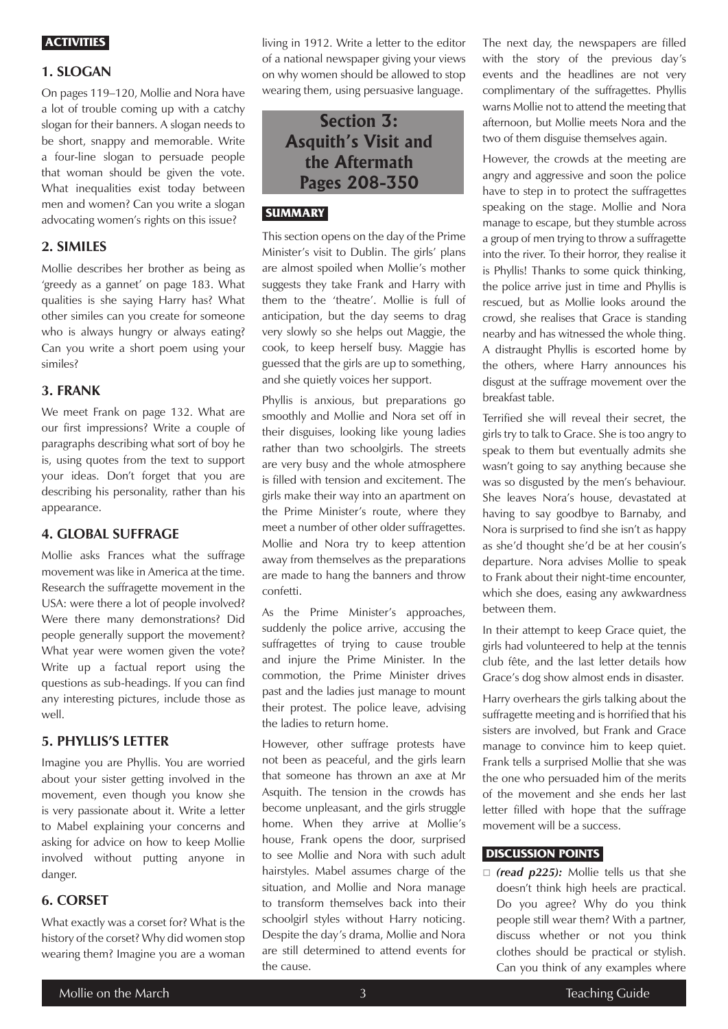#### **ACTIVITIES**

#### **1. SLOGAN**

On pages 119–120, Mollie and Nora have a lot of trouble coming up with a catchy slogan for their banners. A slogan needs to be short, snappy and memorable. Write a four-line slogan to persuade people that woman should be given the vote. What inequalities exist today between men and women? Can you write a slogan advocating women's rights on this issue?

# **2. SIMILES**

Mollie describes her brother as being as 'greedy as a gannet' on page 183. What qualities is she saying Harry has? What other similes can you create for someone who is always hungry or always eating? Can you write a short poem using your similes?

#### **3. FRANK**

We meet Frank on page 132. What are our first impressions? Write a couple of paragraphs describing what sort of boy he is, using quotes from the text to support your ideas. Don't forget that you are describing his personality, rather than his appearance.

#### **4. GLOBAL SUFFRAGE**

Mollie asks Frances what the suffrage movement was like in America at the time. Research the suffragette movement in the USA: were there a lot of people involved? Were there many demonstrations? Did people generally support the movement? What year were women given the vote? Write up a factual report using the questions as sub-headings. If you can find any interesting pictures, include those as well.

# **5. PHYLLIS'S LETTER**

Imagine you are Phyllis. You are worried about your sister getting involved in the movement, even though you know she is very passionate about it. Write a letter to Mabel explaining your concerns and asking for advice on how to keep Mollie involved without putting anyone in danger.

# **6. CORSET**

What exactly was a corset for? What is the history of the corset? Why did women stop wearing them? Imagine you are a woman living in 1912. Write a letter to the editor of a national newspaper giving your views on why women should be allowed to stop wearing them, using persuasive language.

# **Section 3: Asquith's Visit and the Aftermath Pages 208-350**

# **SUMMARY**

This section opens on the day of the Prime Minister's visit to Dublin. The girls' plans are almost spoiled when Mollie's mother suggests they take Frank and Harry with them to the 'theatre'. Mollie is full of anticipation, but the day seems to drag very slowly so she helps out Maggie, the cook, to keep herself busy. Maggie has guessed that the girls are up to something, and she quietly voices her support.

Phyllis is anxious, but preparations go smoothly and Mollie and Nora set off in their disguises, looking like young ladies rather than two schoolgirls. The streets are very busy and the whole atmosphere is filled with tension and excitement. The girls make their way into an apartment on the Prime Minister's route, where they meet a number of other older suffragettes. Mollie and Nora try to keep attention away from themselves as the preparations are made to hang the banners and throw confetti.

As the Prime Minister's approaches, suddenly the police arrive, accusing the suffragettes of trying to cause trouble and injure the Prime Minister. In the commotion, the Prime Minister drives past and the ladies just manage to mount their protest. The police leave, advising the ladies to return home.

However, other suffrage protests have not been as peaceful, and the girls learn that someone has thrown an axe at Mr Asquith. The tension in the crowds has become unpleasant, and the girls struggle home. When they arrive at Mollie's house, Frank opens the door, surprised to see Mollie and Nora with such adult hairstyles. Mabel assumes charge of the situation, and Mollie and Nora manage to transform themselves back into their schoolgirl styles without Harry noticing. Despite the day's drama, Mollie and Nora are still determined to attend events for the cause.

The next day, the newspapers are filled with the story of the previous day's events and the headlines are not very complimentary of the suffragettes. Phyllis warns Mollie not to attend the meeting that afternoon, but Mollie meets Nora and the two of them disguise themselves again.

However, the crowds at the meeting are angry and aggressive and soon the police have to step in to protect the suffragettes speaking on the stage. Mollie and Nora manage to escape, but they stumble across a group of men trying to throw a suffragette into the river. To their horror, they realise it is Phyllis! Thanks to some quick thinking, the police arrive just in time and Phyllis is rescued, but as Mollie looks around the crowd, she realises that Grace is standing nearby and has witnessed the whole thing. A distraught Phyllis is escorted home by the others, where Harry announces his disgust at the suffrage movement over the breakfast table.

Terrified she will reveal their secret, the girls try to talk to Grace. She is too angry to speak to them but eventually admits she wasn't going to say anything because she was so disgusted by the men's behaviour. She leaves Nora's house, devastated at having to say goodbye to Barnaby, and Nora is surprised to find she isn't as happy as she'd thought she'd be at her cousin's departure. Nora advises Mollie to speak to Frank about their night-time encounter, which she does, easing any awkwardness between them.

In their attempt to keep Grace quiet, the girls had volunteered to help at the tennis club fête, and the last letter details how Grace's dog show almost ends in disaster.

Harry overhears the girls talking about the suffragette meeting and is horrified that his sisters are involved, but Frank and Grace manage to convince him to keep quiet. Frank tells a surprised Mollie that she was the one who persuaded him of the merits of the movement and she ends her last letter filled with hope that the suffrage movement will be a success.

#### **DISCUSSION POINTS**

□ (read p225): Mollie tells us that she doesn't think high heels are practical. Do you agree? Why do you think people still wear them? With a partner, discuss whether or not you think clothes should be practical or stylish. Can you think of any examples where